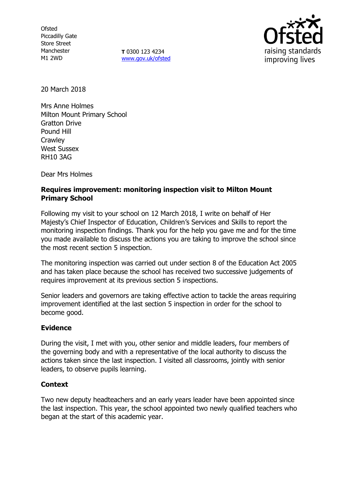**Ofsted** Piccadilly Gate Store Street Manchester M1 2WD

**T** 0300 123 4234 [www.gov.uk/ofsted](http://www.gov.uk/ofsted)



20 March 2018

Mrs Anne Holmes Milton Mount Primary School Gratton Drive Pound Hill **Crawley** West Sussex RH10 3AG

Dear Mrs Holmes

# **Requires improvement: monitoring inspection visit to Milton Mount Primary School**

Following my visit to your school on 12 March 2018, I write on behalf of Her Majesty's Chief Inspector of Education, Children's Services and Skills to report the monitoring inspection findings. Thank you for the help you gave me and for the time you made available to discuss the actions you are taking to improve the school since the most recent section 5 inspection.

The monitoring inspection was carried out under section 8 of the Education Act 2005 and has taken place because the school has received two successive judgements of requires improvement at its previous section 5 inspections.

Senior leaders and governors are taking effective action to tackle the areas requiring improvement identified at the last section 5 inspection in order for the school to become good.

# **Evidence**

During the visit, I met with you, other senior and middle leaders, four members of the governing body and with a representative of the local authority to discuss the actions taken since the last inspection. I visited all classrooms, jointly with senior leaders, to observe pupils learning.

# **Context**

Two new deputy headteachers and an early years leader have been appointed since the last inspection. This year, the school appointed two newly qualified teachers who began at the start of this academic year.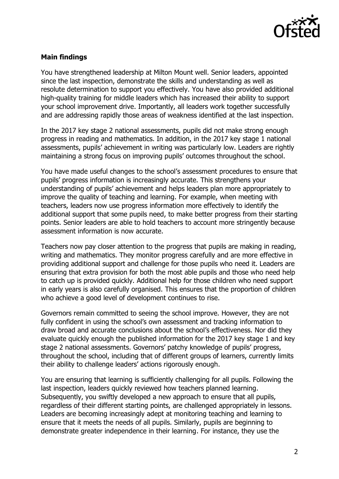

### **Main findings**

You have strengthened leadership at Milton Mount well. Senior leaders, appointed since the last inspection, demonstrate the skills and understanding as well as resolute determination to support you effectively. You have also provided additional high-quality training for middle leaders which has increased their ability to support your school improvement drive. Importantly, all leaders work together successfully and are addressing rapidly those areas of weakness identified at the last inspection.

In the 2017 key stage 2 national assessments, pupils did not make strong enough progress in reading and mathematics. In addition, in the 2017 key stage 1 national assessments, pupils' achievement in writing was particularly low. Leaders are rightly maintaining a strong focus on improving pupils' outcomes throughout the school.

You have made useful changes to the school's assessment procedures to ensure that pupils' progress information is increasingly accurate. This strengthens your understanding of pupils' achievement and helps leaders plan more appropriately to improve the quality of teaching and learning. For example, when meeting with teachers, leaders now use progress information more effectively to identify the additional support that some pupils need, to make better progress from their starting points. Senior leaders are able to hold teachers to account more stringently because assessment information is now accurate.

Teachers now pay closer attention to the progress that pupils are making in reading, writing and mathematics. They monitor progress carefully and are more effective in providing additional support and challenge for those pupils who need it. Leaders are ensuring that extra provision for both the most able pupils and those who need help to catch up is provided quickly. Additional help for those children who need support in early years is also carefully organised. This ensures that the proportion of children who achieve a good level of development continues to rise.

Governors remain committed to seeing the school improve. However, they are not fully confident in using the school's own assessment and tracking information to draw broad and accurate conclusions about the school's effectiveness. Nor did they evaluate quickly enough the published information for the 2017 key stage 1 and key stage 2 national assessments. Governors' patchy knowledge of pupils' progress, throughout the school, including that of different groups of learners, currently limits their ability to challenge leaders' actions rigorously enough.

You are ensuring that learning is sufficiently challenging for all pupils. Following the last inspection, leaders quickly reviewed how teachers planned learning. Subsequently, you swiftly developed a new approach to ensure that all pupils, regardless of their different starting points, are challenged appropriately in lessons. Leaders are becoming increasingly adept at monitoring teaching and learning to ensure that it meets the needs of all pupils. Similarly, pupils are beginning to demonstrate greater independence in their learning. For instance, they use the